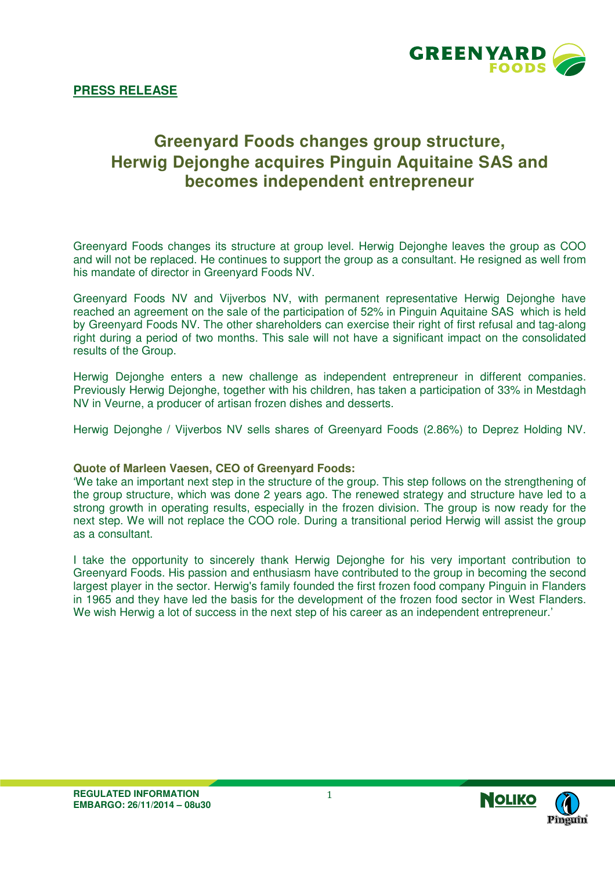

## **Greenyard Foods changes group structure, Herwig Dejonghe acquires Pinguin Aquitaine SAS and becomes independent entrepreneur**

Greenyard Foods changes its structure at group level. Herwig Dejonghe leaves the group as COO and will not be replaced. He continues to support the group as a consultant. He resigned as well from his mandate of director in Greenyard Foods NV.

Greenyard Foods NV and Vijverbos NV, with permanent representative Herwig Dejonghe have reached an agreement on the sale of the participation of 52% in Pinguin Aquitaine SAS which is held by Greenyard Foods NV. The other shareholders can exercise their right of first refusal and tag-along right during a period of two months. This sale will not have a significant impact on the consolidated results of the Group.

Herwig Dejonghe enters a new challenge as independent entrepreneur in different companies. Previously Herwig Dejonghe, together with his children, has taken a participation of 33% in Mestdagh NV in Veurne, a producer of artisan frozen dishes and desserts.

Herwig Dejonghe / Vijverbos NV sells shares of Greenyard Foods (2.86%) to Deprez Holding NV.

## **Quote of Marleen Vaesen, CEO of Greenyard Foods:**

'We take an important next step in the structure of the group. This step follows on the strengthening of the group structure, which was done 2 years ago. The renewed strategy and structure have led to a strong growth in operating results, especially in the frozen division. The group is now ready for the next step. We will not replace the COO role. During a transitional period Herwig will assist the group as a consultant.

I take the opportunity to sincerely thank Herwig Dejonghe for his very important contribution to Greenyard Foods. His passion and enthusiasm have contributed to the group in becoming the second largest player in the sector. Herwig's family founded the first frozen food company Pinguin in Flanders in 1965 and they have led the basis for the development of the frozen food sector in West Flanders. We wish Herwig a lot of success in the next step of his career as an independent entrepreneur.'